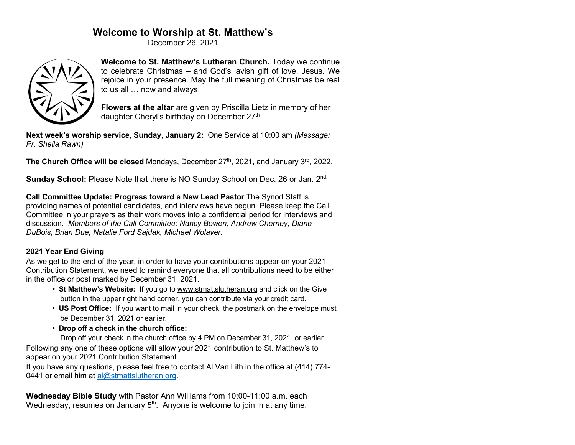# **Welcome to Worship at St. Matthew's**

December 26, 2021



**Welcome to St. Matthew's Lutheran Church.** Today we continue to celebrate Christmas – and God's lavish gift of love, Jesus. We rejoice in your presence. May the full meaning of Christmas be real to us all … now and always.

**Flowers at the altar** are given by Priscilla Lietz in memory of her daughter Cheryl's birthday on December 27<sup>th</sup>.

**Next week's worship service, Sunday, January 2:** One Service at 10:00 am *(Message: Pr. Sheila Rawn)*

**The Church Office will be closed** Mondays, December 27<sup>th</sup>, 2021, and January 3<sup>rd</sup>, 2022.

**Sunday School:** Please Note that there is NO Sunday School on Dec. 26 or Jan. 2<sup>nd.</sup>

**Call Committee Update: Progress toward a New Lead Pastor** The Synod Staff is providing names of potential candidates, and interviews have begun. Please keep the Call Committee in your prayers as their work moves into a confidential period for interviews and discussion. *Members of the Call Committee: Nancy Bowen, Andrew Cherney, Diane DuBois, Brian Due, Natalie Ford Sajdak, Michael Wolaver.*

## **2021 Year End Giving**

As we get to the end of the year, in order to have your contributions appear on your 2021 Contribution Statement, we need to remind everyone that all contributions need to be either in the office or post marked by December 31, 2021.

- **St Matthew's Website:** If you go to www.stmattslutheran.org and click on the Give button in the upper right hand corner, you can contribute via your credit card.
- **US Post Office:** If you want to mail in your check, the postmark on the envelope must be December 31, 2021 or earlier.
- **Drop off a check in the church office:**

 Drop off your check in the church office by 4 PM on December 31, 2021, or earlier. Following any one of these options will allow your 2021 contribution to St. Matthew's to appear on your 2021 Contribution Statement.

If you have any questions, please feel free to contact Al Van Lith in the office at (414) 774- 0441 or email him at al@stmattslutheran.org.

**Wednesday Bible Study** with Pastor Ann Williams from 10:00-11:00 a.m. each Wednesday, resumes on January  $5<sup>th</sup>$ . Anyone is welcome to join in at any time.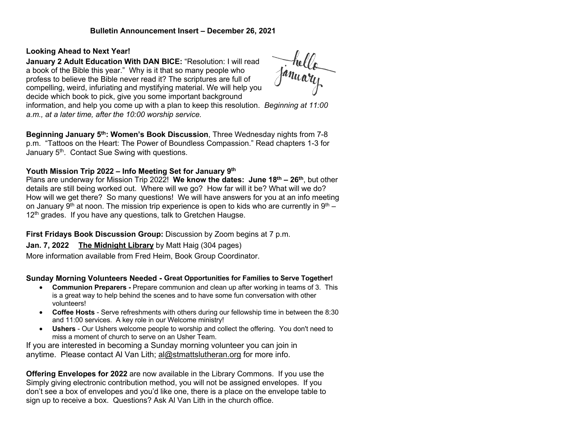### **Bulletin Announcement Insert – December 26, 2021**

#### **Looking Ahead to Next Year!**

**January 2 Adult Education With DAN BICE:** "Resolution: I will read a book of the Bible this year." Why is it that so many people who profess to believe the Bible never read it? The scriptures are full of compelling, weird, infuriating and mystifying material. We will help you decide which book to pick, give you some important background

January<br>January

information, and help you come up with a plan to keep this resolution. *Beginning at 11:00 a.m., at a later time, after the 10:00 worship service.*

**Beginning January 5th: Women's Book Discussion**, Three Wednesday nights from 7-8 p.m. "Tattoos on the Heart: The Power of Boundless Compassion." Read chapters 1-3 for January 5<sup>th</sup>. Contact Sue Swing with questions.

#### **Youth Mission Trip 2022 – Info Meeting Set for January 9th**

Plans are underway for Mission Trip 2022! **We know the dates: June 18th – 26th**, but other details are still being worked out. Where will we go? How far will it be? What will we do? How will we get there? So many questions! We will have answers for you at an info meeting on January 9<sup>th</sup> at noon. The mission trip experience is open to kids who are currently in 9<sup>th</sup> – 12<sup>th</sup> grades. If you have any questions, talk to Gretchen Haugse.

#### **First Fridays Book Discussion Group:** Discussion by Zoom begins at 7 p.m.

#### **Jan. 7, 2022 The Midnight Library** by Matt Haig (304 pages)

More information available from Fred Heim, Book Group Coordinator.

#### **Sunday Morning Volunteers Needed - Great Opportunities for Families to Serve Together!**

- **Communion Preparers -** Prepare communion and clean up after working in teams of 3. This is a great way to help behind the scenes and to have some fun conversation with other volunteers!
- **Coffee Hosts** Serve refreshments with others during our fellowship time in between the 8:30 and 11:00 services. A key role in our Welcome ministry!
- **Ushers** Our Ushers welcome people to worship and collect the offering. You don't need to miss a moment of church to serve on an Usher Team.

If you are interested in becoming a Sunday morning volunteer you can join in anytime. Please contact Al Van Lith; al@stmattslutheran.org for more info.

**Offering Envelopes for 2022** are now available in the Library Commons. If you use the Simply giving electronic contribution method, you will not be assigned envelopes. If you don't see a box of envelopes and you'd like one, there is a place on the envelope table to sign up to receive a box. Questions? Ask Al Van Lith in the church office.